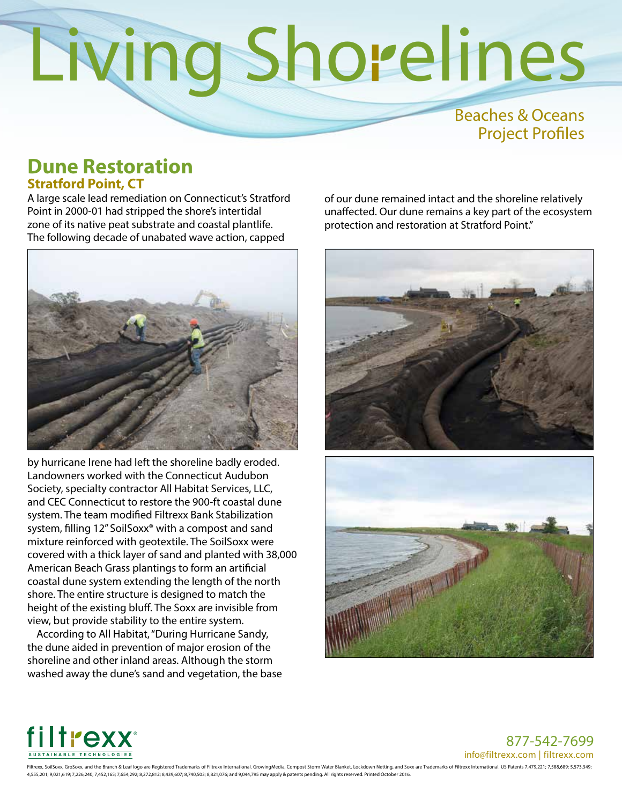#### Beaches & Oceans Project Profiles

#### **Dune Restoration Stratford Point, CT**

A large scale lead remediation on Connecticut's Stratford Point in 2000-01 had stripped the shore's intertidal zone of its native peat substrate and coastal plantlife. The following decade of unabated wave action, capped



by hurricane Irene had left the shoreline badly eroded. Landowners worked with the Connecticut Audubon Society, specialty contractor All Habitat Services, LLC, and CEC Connecticut to restore the 900-ft coastal dune system. The team modified Filtrexx Bank Stabilization system, filling 12" SoilSoxx® with a compost and sand mixture reinforced with geotextile. The SoilSoxx were covered with a thick layer of sand and planted with 38,000 American Beach Grass plantings to form an artificial coastal dune system extending the length of the north shore. The entire structure is designed to match the height of the existing bluff. The Soxx are invisible from view, but provide stability to the entire system.

According to All Habitat, "During Hurricane Sandy, the dune aided in prevention of major erosion of the shoreline and other inland areas. Although the storm washed away the dune's sand and vegetation, the base of our dune remained intact and the shoreline relatively unaffected. Our dune remains a key part of the ecosystem protection and restoration at Stratford Point."





877-542-7699 info@filtrexx.com | filtrexx.com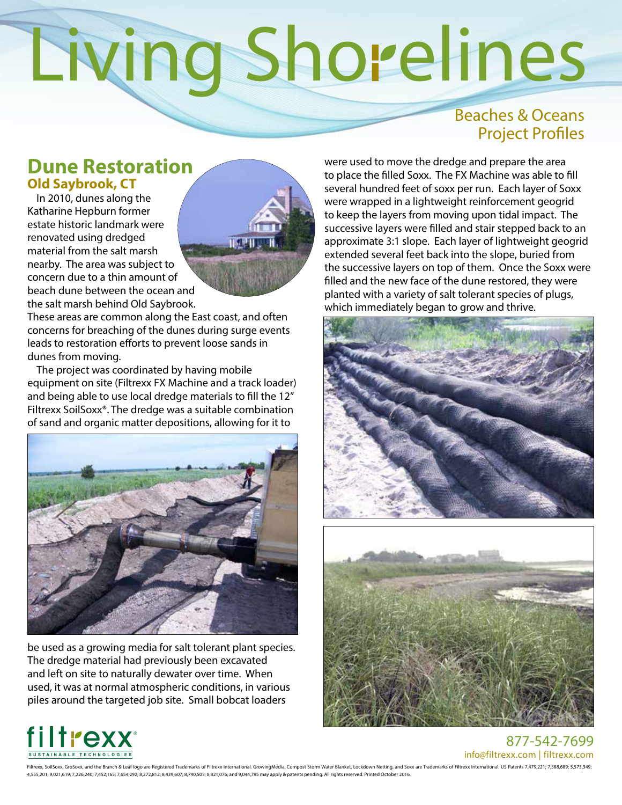#### Beaches & Oceans Project Profiles

#### **Dune Restoration Old Saybrook, CT**

In 2010, dunes along the Katharine Hepburn former estate historic landmark were renovated using dredged material from the salt marsh nearby. The area was subject to concern due to a thin amount of beach dune between the ocean and the salt marsh behind Old Saybrook.



These areas are common along the East coast, and often concerns for breaching of the dunes during surge events leads to restoration efforts to prevent loose sands in dunes from moving.

The project was coordinated by having mobile equipment on site (Filtrexx FX Machine and a track loader) and being able to use local dredge materials to fill the 12" Filtrexx SoilSoxx®. The dredge was a suitable combination of sand and organic matter depositions, allowing for it to



be used as a growing media for salt tolerant plant species. The dredge material had previously been excavated and left on site to naturally dewater over time. When used, it was at normal atmospheric conditions, in various piles around the targeted job site. Small bobcat loaders

were used to move the dredge and prepare the area to place the filled Soxx. The FX Machine was able to fill several hundred feet of soxx per run. Each layer of Soxx were wrapped in a lightweight reinforcement geogrid to keep the layers from moving upon tidal impact. The successive layers were filled and stair stepped back to an approximate 3:1 slope. Each layer of lightweight geogrid extended several feet back into the slope, buried from the successive layers on top of them. Once the Soxx were filled and the new face of the dune restored, they were planted with a variety of salt tolerant species of plugs, which immediately began to grow and thrive.







877-542-7699 info@filtrexx.com | filtrexx.com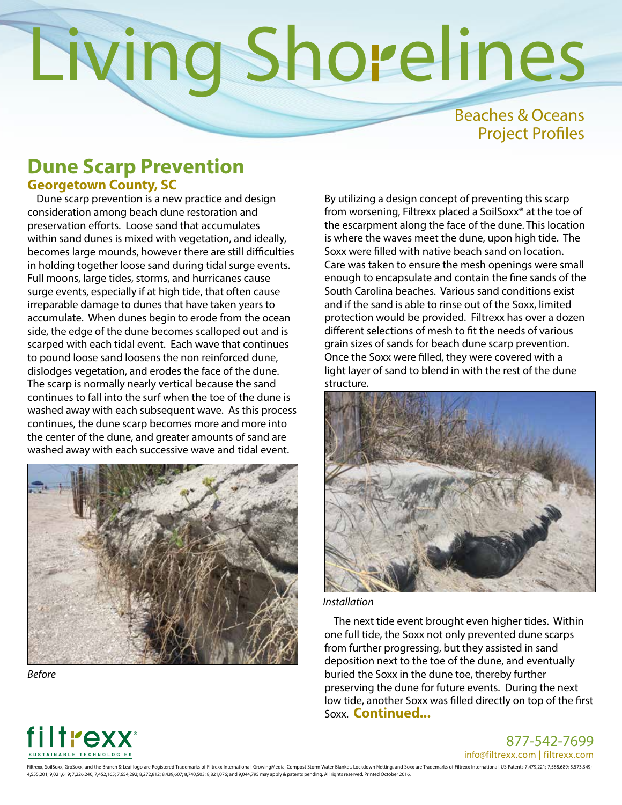Beaches & Oceans Project Profiles

#### **Dune Scarp Prevention Georgetown County, SC**

Dune scarp prevention is a new practice and design consideration among beach dune restoration and preservation efforts. Loose sand that accumulates within sand dunes is mixed with vegetation, and ideally, becomes large mounds, however there are still difficulties in holding together loose sand during tidal surge events. Full moons, large tides, storms, and hurricanes cause surge events, especially if at high tide, that often cause irreparable damage to dunes that have taken years to accumulate. When dunes begin to erode from the ocean side, the edge of the dune becomes scalloped out and is scarped with each tidal event. Each wave that continues to pound loose sand loosens the non reinforced dune, dislodges vegetation, and erodes the face of the dune. The scarp is normally nearly vertical because the sand continues to fall into the surf when the toe of the dune is washed away with each subsequent wave. As this process continues, the dune scarp becomes more and more into the center of the dune, and greater amounts of sand are washed away with each successive wave and tidal event.



*Before*

By utilizing a design concept of preventing this scarp from worsening, Filtrexx placed a SoilSoxx® at the toe of the escarpment along the face of the dune. This location is where the waves meet the dune, upon high tide. The Soxx were filled with native beach sand on location. Care was taken to ensure the mesh openings were small enough to encapsulate and contain the fine sands of the South Carolina beaches. Various sand conditions exist and if the sand is able to rinse out of the Soxx, limited protection would be provided. Filtrexx has over a dozen different selections of mesh to fit the needs of various grain sizes of sands for beach dune scarp prevention. Once the Soxx were filled, they were covered with a light layer of sand to blend in with the rest of the dune structure.



*Installation*

The next tide event brought even higher tides. Within one full tide, the Soxx not only prevented dune scarps from further progressing, but they assisted in sand deposition next to the toe of the dune, and eventually buried the Soxx in the dune toe, thereby further preserving the dune for future events. During the next low tide, another Soxx was filled directly on top of the first Soxx. **Continued...** 



877-542-7699

info@filtrexx.com | filtrexx.com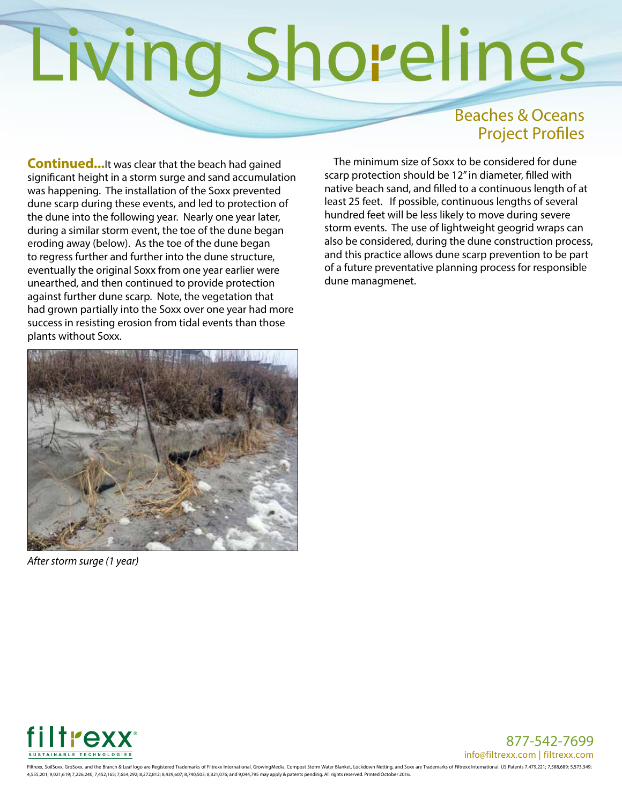#### Beaches & Oceans Project Profiles

**Continued...**It was clear that the beach had gained significant height in a storm surge and sand accumulation was happening. The installation of the Soxx prevented dune scarp during these events, and led to protection of the dune into the following year. Nearly one year later, during a similar storm event, the toe of the dune began eroding away (below). As the toe of the dune began to regress further and further into the dune structure, eventually the original Soxx from one year earlier were unearthed, and then continued to provide protection against further dune scarp. Note, the vegetation that had grown partially into the Soxx over one year had more success in resisting erosion from tidal events than those plants without Soxx.



*After storm surge (1 year)*

The minimum size of Soxx to be considered for dune scarp protection should be 12" in diameter, filled with native beach sand, and filled to a continuous length of at least 25 feet. If possible, continuous lengths of several hundred feet will be less likely to move during severe storm events. The use of lightweight geogrid wraps can also be considered, during the dune construction process, and this practice allows dune scarp prevention to be part of a future preventative planning process for responsible dune managmenet.



877-542-7699 info@filtrexx.com | filtrexx.com